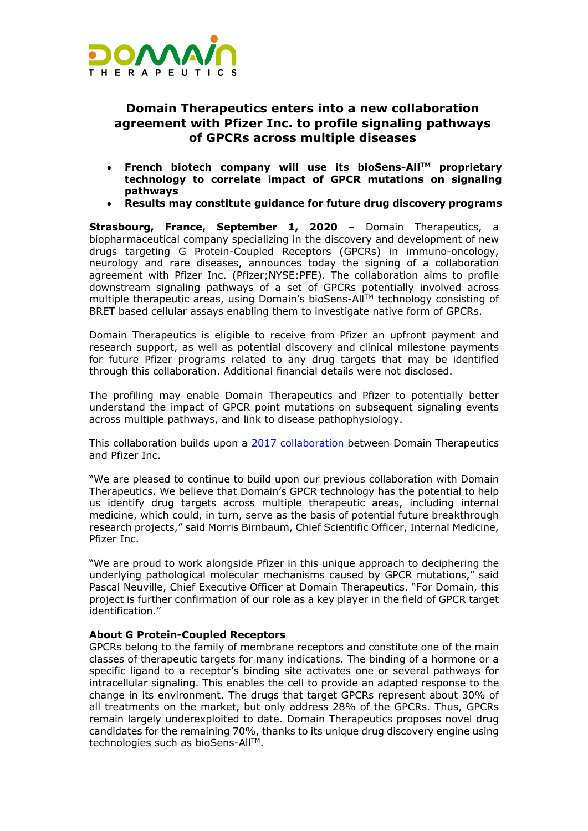

## **Domain Therapeutics enters into a new collaboration agreement with Pfizer Inc. to profile signaling pathways of GPCRs across multiple diseases**

- **French biotech company will use its bioSens-AllTM proprietary technology to correlate impact of GPCR mutations on signaling pathways**
- **Results may constitute guidance for future drug discovery programs**

**Strasbourg, France, September 1, 2020** – Domain Therapeutics, a biopharmaceutical company specializing in the discovery and development of new drugs targeting G Protein-Coupled Receptors (GPCRs) in immuno-oncology, neurology and rare diseases, announces today the signing of a collaboration agreement with Pfizer Inc. (Pfizer;NYSE:PFE). The collaboration aims to profile downstream signaling pathways of a set of GPCRs potentially involved across multiple therapeutic areas, using Domain's bioSens-AllTM technology consisting of BRET based cellular assays enabling them to investigate native form of GPCRs.

Domain Therapeutics is eligible to receive from Pfizer an upfront payment and research support, as well as potential discovery and clinical milestone payments for future Pfizer programs related to any drug targets that may be identified through this collaboration. Additional financial details were not disclosed.

The profiling may enable Domain Therapeutics and Pfizer to potentially better understand the impact of GPCR point mutations on subsequent signaling events across multiple pathways, and link to disease pathophysiology.

This collaboration builds upon a [2017 collaboration](https://www.domaintherapeutics.com/pfizer-inc-and-domain-therapeutics-enter-into-a-collaboration-agreement-on-biosensall/) between Domain Therapeutics and Pfizer Inc.

"We are pleased to continue to build upon our previous collaboration with Domain Therapeutics. We believe that Domain's GPCR technology has the potential to help us identify drug targets across multiple therapeutic areas, including internal medicine, which could, in turn, serve as the basis of potential future breakthrough research projects," said Morris Birnbaum, Chief Scientific Officer, Internal Medicine, Pfizer Inc.

"We are proud to work alongside Pfizer in this unique approach to deciphering the underlying pathological molecular mechanisms caused by GPCR mutations," said Pascal Neuville, Chief Executive Officer at Domain Therapeutics. "For Domain, this project is further confirmation of our role as a key player in the field of GPCR target identification."

## **About G Protein-Coupled Receptors**

GPCRs belong to the family of membrane receptors and constitute one of the main classes of therapeutic targets for many indications. The binding of a hormone or a specific ligand to a receptor's binding site activates one or several pathways for intracellular signaling. This enables the cell to provide an adapted response to the change in its environment. The drugs that target GPCRs represent about 30% of all treatments on the market, but only address 28% of the GPCRs. Thus, GPCRs remain largely underexploited to date. Domain Therapeutics proposes novel drug candidates for the remaining 70%, thanks to its unique drug discovery engine using technologies such as bioSens-All™.